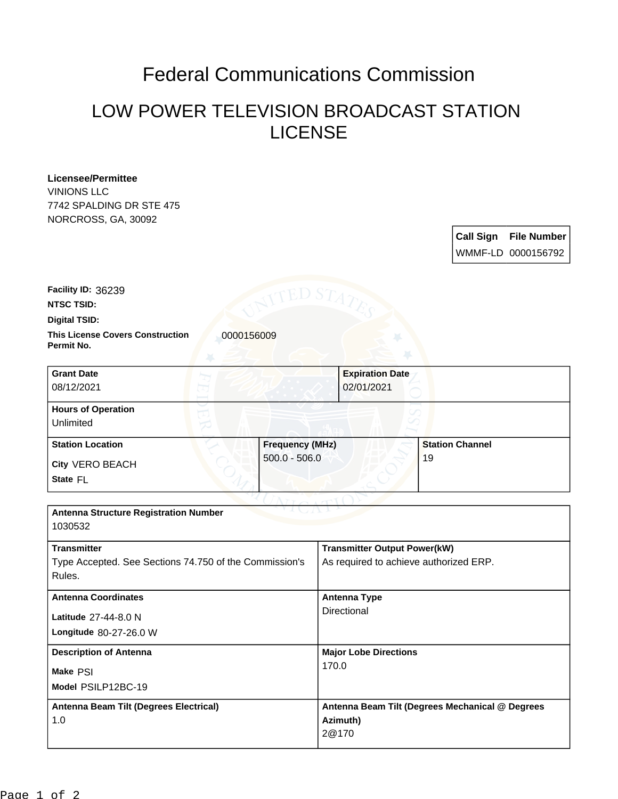## Federal Communications Commission

## LOW POWER TELEVISION BROADCAST STATION LICENSE

**Licensee/Permittee** VINIONS LLC 7742 SPALDING DR STE 475 NORCROSS, GA, 30092

> **Call Sign File Number** WMMF-LD 0000156792

**NTSC TSID: Facility ID:** 36239

**Digital TSID:**

**Permit No.**

**This License Covers Construction 10000156009** 

| <b>Grant Date</b><br>08/12/2021        | <b>Expiration Date</b><br>02/01/2021 |                        |
|----------------------------------------|--------------------------------------|------------------------|
| <b>Hours of Operation</b><br>Unlimited |                                      |                        |
| <b>Station Location</b>                | <b>Frequency (MHz)</b>               | <b>Station Channel</b> |
| <b>City VERO BEACH</b><br>State FL     | $500.0 - 506.0$                      | 19                     |

| <b>Antenna Structure Registration Number</b><br>1030532 |                                                 |  |  |
|---------------------------------------------------------|-------------------------------------------------|--|--|
| <b>Transmitter</b>                                      | <b>Transmitter Output Power(kW)</b>             |  |  |
| Type Accepted. See Sections 74.750 of the Commission's  | As required to achieve authorized ERP.          |  |  |
| Rules.                                                  |                                                 |  |  |
| <b>Antenna Coordinates</b>                              | Antenna Type                                    |  |  |
| Latitude 27-44-8.0 N                                    | Directional                                     |  |  |
| Longitude 80-27-26.0 W                                  |                                                 |  |  |
| <b>Description of Antenna</b>                           | <b>Major Lobe Directions</b>                    |  |  |
| Make PSI                                                | 170.0                                           |  |  |
| Model PSILP12BC-19                                      |                                                 |  |  |
| Antenna Beam Tilt (Degrees Electrical)                  | Antenna Beam Tilt (Degrees Mechanical @ Degrees |  |  |
| 1.0                                                     | Azimuth)                                        |  |  |
|                                                         | 2@170                                           |  |  |
|                                                         |                                                 |  |  |